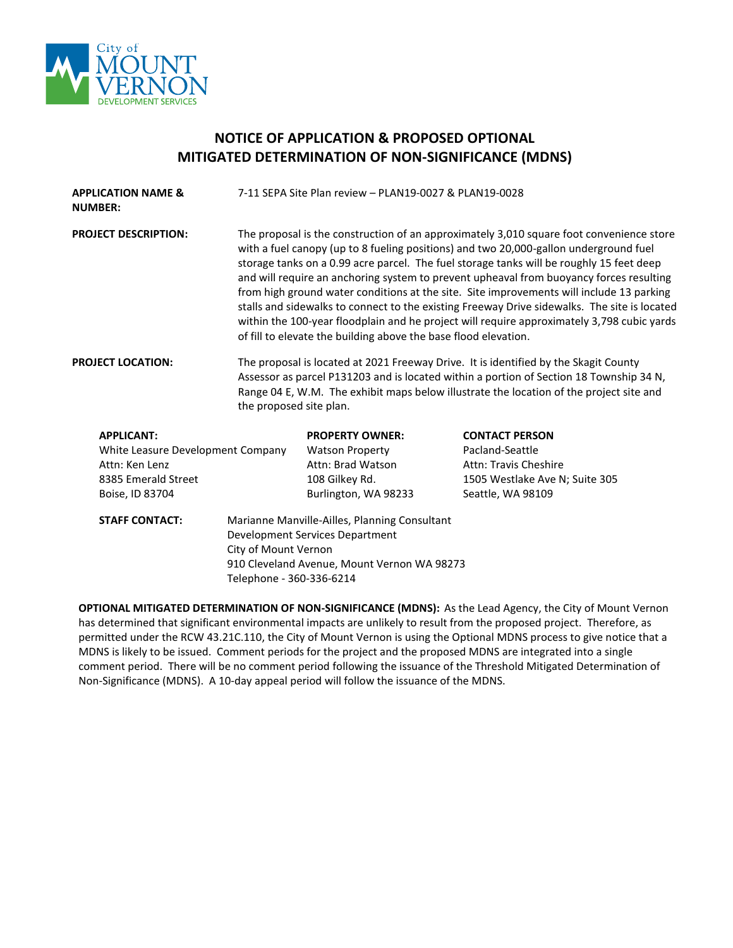

## **NOTICE OF APPLICATION & PROPOSED OPTIONAL MITIGATED DETERMINATION OF NON-SIGNIFICANCE (MDNS)**

| <b>APPLICATION NAME &amp;</b><br><b>NUMBER:</b>                                                                    |                                                                                                                                                                                                                                                                                                       | 7-11 SEPA Site Plan review - PLAN19-0027 & PLAN19-0028                                                                                                                                                                                                                                                                                                                                                                                                                                                                                                                                                                                                                                                                                |                                                                                                                                 |  |  |
|--------------------------------------------------------------------------------------------------------------------|-------------------------------------------------------------------------------------------------------------------------------------------------------------------------------------------------------------------------------------------------------------------------------------------------------|---------------------------------------------------------------------------------------------------------------------------------------------------------------------------------------------------------------------------------------------------------------------------------------------------------------------------------------------------------------------------------------------------------------------------------------------------------------------------------------------------------------------------------------------------------------------------------------------------------------------------------------------------------------------------------------------------------------------------------------|---------------------------------------------------------------------------------------------------------------------------------|--|--|
| <b>PROJECT DESCRIPTION:</b>                                                                                        |                                                                                                                                                                                                                                                                                                       | The proposal is the construction of an approximately 3,010 square foot convenience store<br>with a fuel canopy (up to 8 fueling positions) and two 20,000-gallon underground fuel<br>storage tanks on a 0.99 acre parcel. The fuel storage tanks will be roughly 15 feet deep<br>and will require an anchoring system to prevent upheaval from buoyancy forces resulting<br>from high ground water conditions at the site. Site improvements will include 13 parking<br>stalls and sidewalks to connect to the existing Freeway Drive sidewalks. The site is located<br>within the 100-year floodplain and he project will require approximately 3,798 cubic yards<br>of fill to elevate the building above the base flood elevation. |                                                                                                                                 |  |  |
| <b>PROJECT LOCATION:</b>                                                                                           | The proposal is located at 2021 Freeway Drive. It is identified by the Skagit County<br>Assessor as parcel P131203 and is located within a portion of Section 18 Township 34 N,<br>Range 04 E, W.M. The exhibit maps below illustrate the location of the project site and<br>the proposed site plan. |                                                                                                                                                                                                                                                                                                                                                                                                                                                                                                                                                                                                                                                                                                                                       |                                                                                                                                 |  |  |
| <b>APPLICANT:</b><br>White Leasure Development Company<br>Attn: Ken Lenz<br>8385 Emerald Street<br>Boise, ID 83704 |                                                                                                                                                                                                                                                                                                       | <b>PROPERTY OWNER:</b><br><b>Watson Property</b><br>Attn: Brad Watson<br>108 Gilkey Rd.<br>Burlington, WA 98233                                                                                                                                                                                                                                                                                                                                                                                                                                                                                                                                                                                                                       | <b>CONTACT PERSON</b><br>Pacland-Seattle<br><b>Attn: Travis Cheshire</b><br>1505 Westlake Ave N; Suite 305<br>Seattle, WA 98109 |  |  |
| <b>STAFF CONTACT:</b>                                                                                              | City of Mount Vernon<br>Telephone - 360-336-6214                                                                                                                                                                                                                                                      | Marianne Manville-Ailles, Planning Consultant<br>Development Services Department<br>910 Cleveland Avenue, Mount Vernon WA 98273                                                                                                                                                                                                                                                                                                                                                                                                                                                                                                                                                                                                       |                                                                                                                                 |  |  |

**OPTIONAL MITIGATED DETERMINATION OF NON-SIGNIFICANCE (MDNS):** As the Lead Agency, the City of Mount Vernon has determined that significant environmental impacts are unlikely to result from the proposed project. Therefore, as permitted under the RCW 43.21C.110, the City of Mount Vernon is using the Optional MDNS process to give notice that a MDNS is likely to be issued. Comment periods for the project and the proposed MDNS are integrated into a single comment period. There will be no comment period following the issuance of the Threshold Mitigated Determination of Non-Significance (MDNS). A 10-day appeal period will follow the issuance of the MDNS.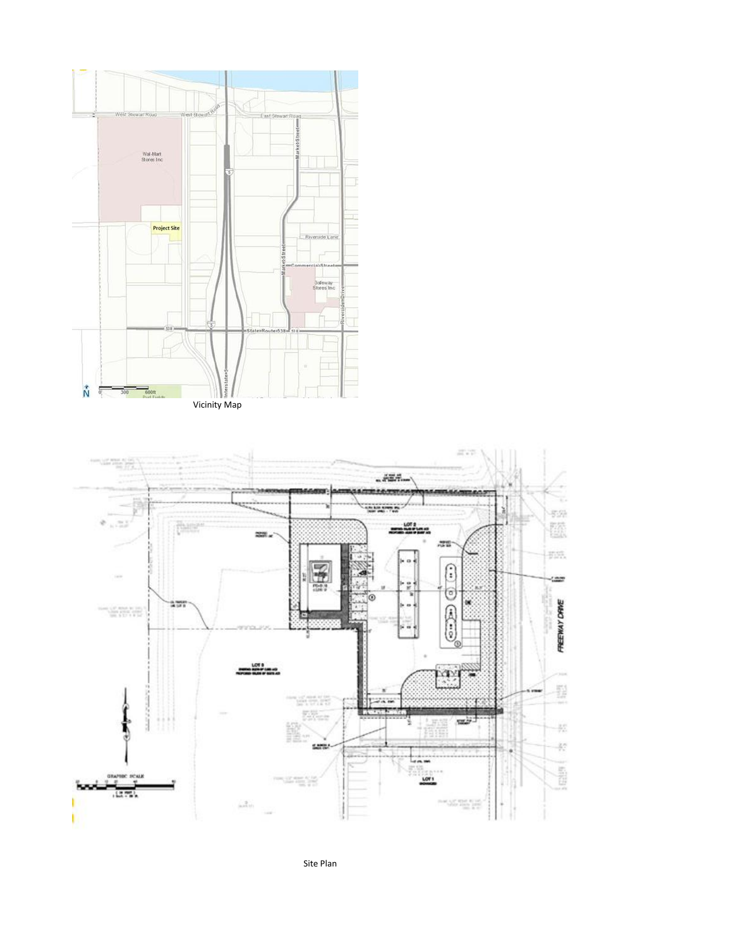



Site Plan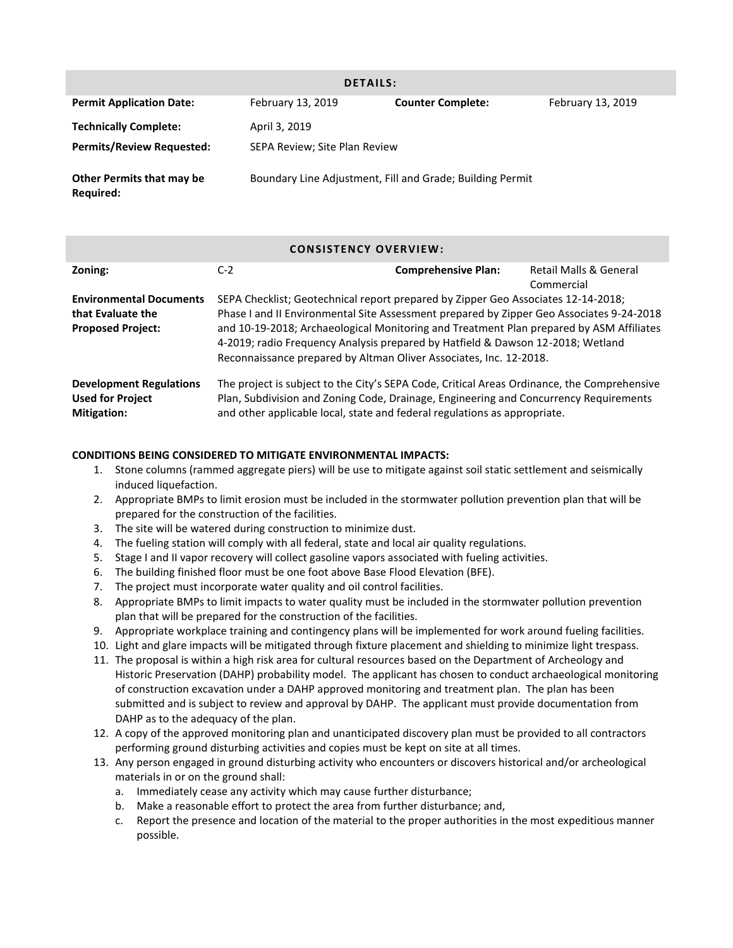| <b>DETAILS:</b>                               |                               |                                                           |                   |  |  |
|-----------------------------------------------|-------------------------------|-----------------------------------------------------------|-------------------|--|--|
| <b>Permit Application Date:</b>               | February 13, 2019             | <b>Counter Complete:</b>                                  | February 13, 2019 |  |  |
| <b>Technically Complete:</b>                  | April 3, 2019                 |                                                           |                   |  |  |
| <b>Permits/Review Requested:</b>              | SEPA Review; Site Plan Review |                                                           |                   |  |  |
| <b>Other Permits that may be</b><br>Required: |                               | Boundary Line Adjustment, Fill and Grade; Building Permit |                   |  |  |

## **CONSISTENCY OVERVIEW:**

| Zoning:                                                                         | $C-2$                                                                                                                                                                                                                                                             | <b>Comprehensive Plan:</b> | Retail Malls & General |  |
|---------------------------------------------------------------------------------|-------------------------------------------------------------------------------------------------------------------------------------------------------------------------------------------------------------------------------------------------------------------|----------------------------|------------------------|--|
|                                                                                 |                                                                                                                                                                                                                                                                   |                            | Commercial             |  |
| <b>Environmental Documents</b><br>that Evaluate the                             | SEPA Checklist; Geotechnical report prepared by Zipper Geo Associates 12-14-2018;<br>Phase I and II Environmental Site Assessment prepared by Zipper Geo Associates 9-24-2018                                                                                     |                            |                        |  |
| <b>Proposed Project:</b>                                                        | and 10-19-2018; Archaeological Monitoring and Treatment Plan prepared by ASM Affiliates<br>4-2019; radio Frequency Analysis prepared by Hatfield & Dawson 12-2018; Wetland<br>Reconnaissance prepared by Altman Oliver Associates, Inc. 12-2018.                  |                            |                        |  |
| <b>Development Regulations</b><br><b>Used for Project</b><br><b>Mitigation:</b> | The project is subject to the City's SEPA Code, Critical Areas Ordinance, the Comprehensive<br>Plan, Subdivision and Zoning Code, Drainage, Engineering and Concurrency Requirements<br>and other applicable local, state and federal regulations as appropriate. |                            |                        |  |

## **CONDITIONS BEING CONSIDERED TO MITIGATE ENVIRONMENTAL IMPACTS:**

- 1. Stone columns (rammed aggregate piers) will be use to mitigate against soil static settlement and seismically induced liquefaction.
- 2. Appropriate BMPs to limit erosion must be included in the stormwater pollution prevention plan that will be prepared for the construction of the facilities.
- 3. The site will be watered during construction to minimize dust.
- 4. The fueling station will comply with all federal, state and local air quality regulations.
- 5. Stage I and II vapor recovery will collect gasoline vapors associated with fueling activities.
- 6. The building finished floor must be one foot above Base Flood Elevation (BFE).
- 7. The project must incorporate water quality and oil control facilities.
- 8. Appropriate BMPs to limit impacts to water quality must be included in the stormwater pollution prevention plan that will be prepared for the construction of the facilities.
- 9. Appropriate workplace training and contingency plans will be implemented for work around fueling facilities.
- 10. Light and glare impacts will be mitigated through fixture placement and shielding to minimize light trespass.
- 11. The proposal is within a high risk area for cultural resources based on the Department of Archeology and Historic Preservation (DAHP) probability model. The applicant has chosen to conduct archaeological monitoring of construction excavation under a DAHP approved monitoring and treatment plan. The plan has been submitted and is subject to review and approval by DAHP. The applicant must provide documentation from DAHP as to the adequacy of the plan.
- 12. A copy of the approved monitoring plan and unanticipated discovery plan must be provided to all contractors performing ground disturbing activities and copies must be kept on site at all times.
- 13. Any person engaged in ground disturbing activity who encounters or discovers historical and/or archeological materials in or on the ground shall:
	- a. Immediately cease any activity which may cause further disturbance;
	- b. Make a reasonable effort to protect the area from further disturbance; and,
	- c. Report the presence and location of the material to the proper authorities in the most expeditious manner possible.